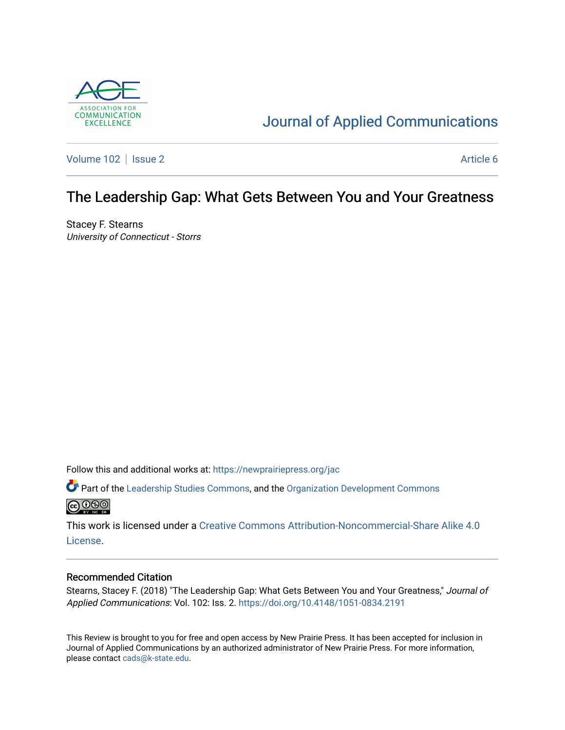

# [Journal of Applied Communications](https://newprairiepress.org/jac)

[Volume 102](https://newprairiepress.org/jac/vol102) | [Issue 2](https://newprairiepress.org/jac/vol102/iss2) Article 6

## The Leadership Gap: What Gets Between You and Your Greatness

Stacey F. Stearns University of Connecticut - Storrs

Follow this and additional works at: [https://newprairiepress.org/jac](https://newprairiepress.org/jac?utm_source=newprairiepress.org%2Fjac%2Fvol102%2Fiss2%2F6&utm_medium=PDF&utm_campaign=PDFCoverPages)

Part of the [Leadership Studies Commons,](http://network.bepress.com/hgg/discipline/1250?utm_source=newprairiepress.org%2Fjac%2Fvol102%2Fiss2%2F6&utm_medium=PDF&utm_campaign=PDFCoverPages) and the [Organization Development Commons](http://network.bepress.com/hgg/discipline/1242?utm_source=newprairiepress.org%2Fjac%2Fvol102%2Fiss2%2F6&utm_medium=PDF&utm_campaign=PDFCoverPages)  **@** 00

This work is licensed under a [Creative Commons Attribution-Noncommercial-Share Alike 4.0](https://creativecommons.org/licenses/by-nc-sa/4.0/) [License.](https://creativecommons.org/licenses/by-nc-sa/4.0/)

#### Recommended Citation

Stearns, Stacey F. (2018) "The Leadership Gap: What Gets Between You and Your Greatness," Journal of Applied Communications: Vol. 102: Iss. 2. <https://doi.org/10.4148/1051-0834.2191>

This Review is brought to you for free and open access by New Prairie Press. It has been accepted for inclusion in Journal of Applied Communications by an authorized administrator of New Prairie Press. For more information, please contact [cads@k-state.edu.](mailto:cads@k-state.edu)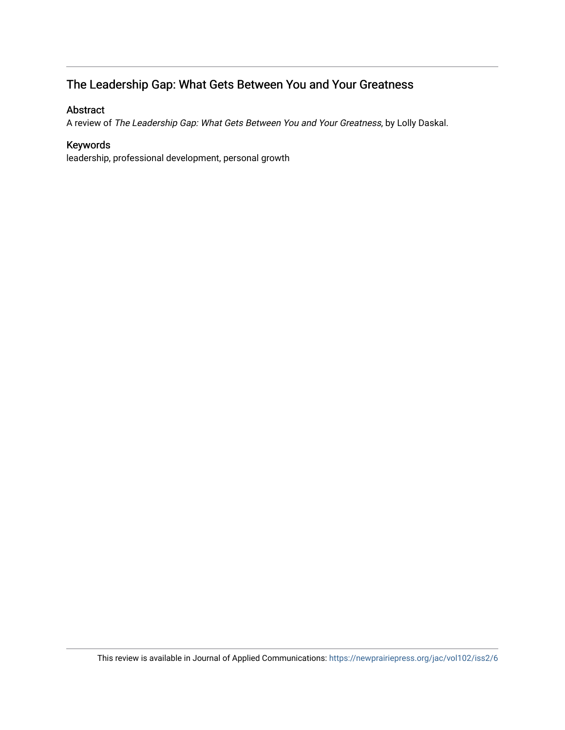### The Leadership Gap: What Gets Between You and Your Greatness

### Abstract

A review of The Leadership Gap: What Gets Between You and Your Greatness, by Lolly Daskal.

### Keywords

leadership, professional development, personal growth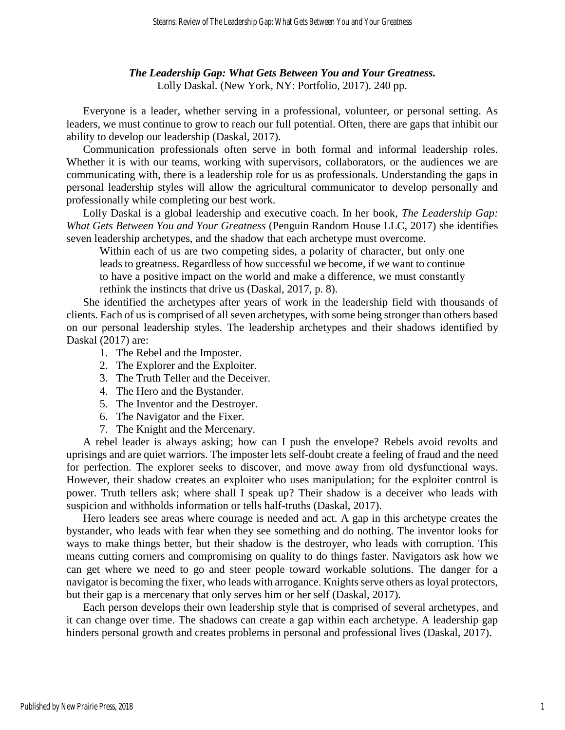### *The Leadership Gap: What Gets Between You and Your Greatness.* Lolly Daskal. (New York, NY: Portfolio, 2017). 240 pp.

Everyone is a leader, whether serving in a professional, volunteer, or personal setting. As leaders, we must continue to grow to reach our full potential. Often, there are gaps that inhibit our ability to develop our leadership (Daskal, 2017).

Communication professionals often serve in both formal and informal leadership roles. Whether it is with our teams, working with supervisors, collaborators, or the audiences we are communicating with, there is a leadership role for us as professionals. Understanding the gaps in personal leadership styles will allow the agricultural communicator to develop personally and professionally while completing our best work.

Lolly Daskal is a global leadership and executive coach. In her book, *The Leadership Gap: What Gets Between You and Your Greatness* (Penguin Random House LLC, 2017) she identifies seven leadership archetypes, and the shadow that each archetype must overcome.

Within each of us are two competing sides, a polarity of character, but only one leads to greatness. Regardless of how successful we become, if we want to continue to have a positive impact on the world and make a difference, we must constantly rethink the instincts that drive us (Daskal, 2017, p. 8).

She identified the archetypes after years of work in the leadership field with thousands of clients. Each of us is comprised of all seven archetypes, with some being stronger than others based on our personal leadership styles. The leadership archetypes and their shadows identified by Daskal (2017) are:

- 1. The Rebel and the Imposter.
- 2. The Explorer and the Exploiter.
- 3. The Truth Teller and the Deceiver.
- 4. The Hero and the Bystander.
- 5. The Inventor and the Destroyer.
- 6. The Navigator and the Fixer.
- 7. The Knight and the Mercenary.

A rebel leader is always asking; how can I push the envelope? Rebels avoid revolts and uprisings and are quiet warriors. The imposter lets self-doubt create a feeling of fraud and the need for perfection. The explorer seeks to discover, and move away from old dysfunctional ways. However, their shadow creates an exploiter who uses manipulation; for the exploiter control is power. Truth tellers ask; where shall I speak up? Their shadow is a deceiver who leads with suspicion and withholds information or tells half-truths (Daskal, 2017).

Hero leaders see areas where courage is needed and act. A gap in this archetype creates the bystander, who leads with fear when they see something and do nothing. The inventor looks for ways to make things better, but their shadow is the destroyer, who leads with corruption. This means cutting corners and compromising on quality to do things faster. Navigators ask how we can get where we need to go and steer people toward workable solutions. The danger for a navigator is becoming the fixer, who leads with arrogance. Knights serve others as loyal protectors, but their gap is a mercenary that only serves him or her self (Daskal, 2017).

Each person develops their own leadership style that is comprised of several archetypes, and it can change over time. The shadows can create a gap within each archetype. A leadership gap hinders personal growth and creates problems in personal and professional lives (Daskal, 2017).